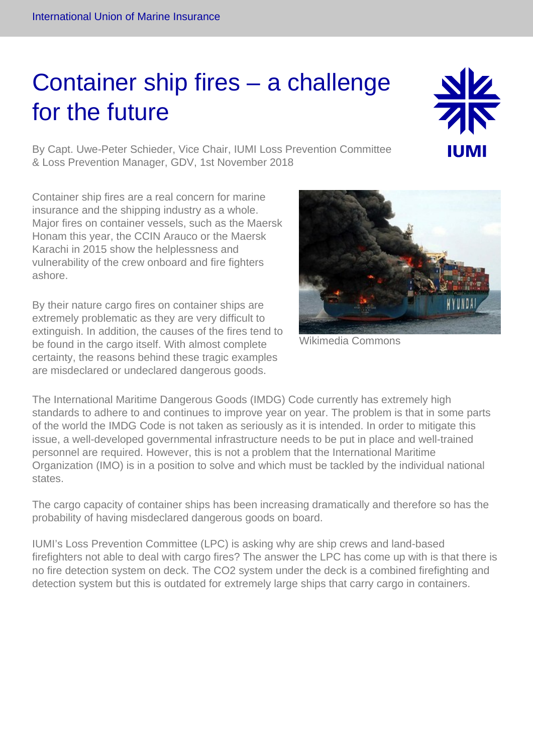## Container ship fires – a challenge for the future

By Capt. Uwe-Peter Schieder, Vice Chair, IUMI Loss Prevention Committee & Loss Prevention Manager, GDV, 1st November 2018

Container ship fires are a real concern for marine insurance and the shipping industry as a whole. Major fires on container vessels, such as the Maersk Honam this year, the CCIN Arauco or the Maersk Karachi in 2015 show the helplessness and vulnerability of the crew onboard and fire fighters ashore.

By their nature cargo fires on container ships are extremely problematic as they are very difficult to extinguish. In addition, the causes of the fires tend to be found in the cargo itself. With almost complete certainty, the reasons behind these tragic examples are misdeclared or undeclared dangerous goods.

The International Maritime Dangerous Goods (IMDG) Code currently has extremely high standards to adhere to and continues to improve year on year. The problem is that in some parts of the world the IMDG Code is not taken as seriously as it is intended. In order to mitigate this issue, a well-developed governmental infrastructure needs to be put in place and well-trained personnel are required. However, this is not a problem that the International Maritime Organization (IMO) is in a position to solve and which must be tackled by the individual national states.

The cargo capacity of container ships has been increasing dramatically and therefore so has the probability of having misdeclared dangerous goods on board.

IUMI's Loss Prevention Committee (LPC) is asking why are ship crews and land-based firefighters not able to deal with cargo fires? The answer the LPC has come up with is that there is no fire detection system on deck. The CO2 system under the deck is a combined firefighting and detection system but this is outdated for extremely large ships that carry cargo in containers.

Wikimedia Commons